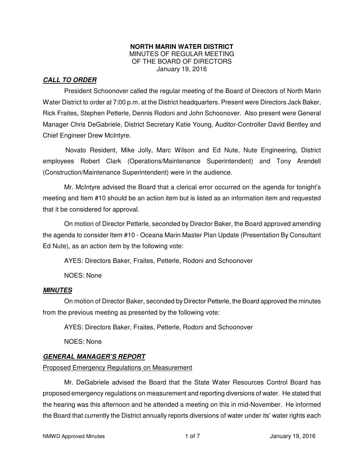#### **NORTH MARIN WATER DISTRICT**  MINUTES OF REGULAR MEETING OF THE BOARD OF DIRECTORS January 19, 2016

## **CALL TO ORDER**

President Schoonover called the regular meeting of the Board of Directors of North Marin Water District to order at 7:00 p.m. at the District headquarters. Present were Directors Jack Baker, Rick Fraites, Stephen Petterle, Dennis Rodoni and John Schoonover. Also present were General Manager Chris DeGabriele, District Secretary Katie Young, Auditor-Controller David Bentley and Chief Engineer Drew McIntyre.

Novato Resident, Mike Jolly, Marc Wilson and Ed Nute, Nute Engineering, District employees Robert Clark (Operations/Maintenance Superintendent) and Tony Arendell (Construction/Maintenance Superintendent) were in the audience.

Mr. McIntyre advised the Board that a clerical error occurred on the agenda for tonight's meeting and Item #10 should be an action item but is listed as an information item and requested that it be considered for approval.

On motion of Director Petterle, seconded by Director Baker, the Board approved amending the agenda to consider Item #10 - Oceana Marin Master Plan Update (Presentation By Consultant Ed Nute), as an action item by the following vote:

AYES: Directors Baker, Fraites, Petterle, Rodoni and Schoonover

NOES: None

#### **MINUTES**

 On motion of Director Baker, seconded by Director Petterle, the Board approved the minutes from the previous meeting as presented by the following vote:

AYES: Directors Baker, Fraites, Petterle, Rodoni and Schoonover

NOES: None

## **GENERAL MANAGER'S REPORT**

#### Proposed Emergency Regulations on Measurement

 Mr. DeGabriele advised the Board that the State Water Resources Control Board has proposed emergency regulations on measurement and reporting diversions of water. He stated that the hearing was this afternoon and he attended a meeting on this in mid-November. He informed the Board that currently the District annually reports diversions of water under its' water rights each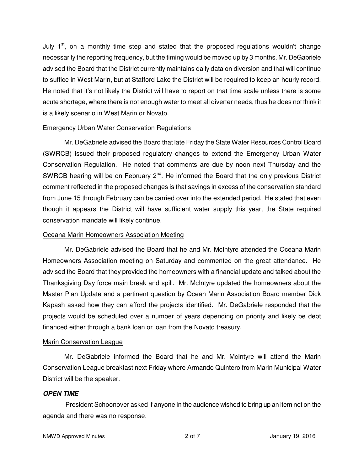July 1<sup>st</sup>, on a monthly time step and stated that the proposed regulations wouldn't change necessarily the reporting frequency, but the timing would be moved up by 3 months. Mr. DeGabriele advised the Board that the District currently maintains daily data on diversion and that will continue to suffice in West Marin, but at Stafford Lake the District will be required to keep an hourly record. He noted that it's not likely the District will have to report on that time scale unless there is some acute shortage, where there is not enough water to meet all diverter needs, thus he does not think it is a likely scenario in West Marin or Novato.

#### Emergency Urban Water Conservation Regulations

 Mr. DeGabriele advised the Board that late Friday the State Water Resources Control Board (SWRCB) issued their proposed regulatory changes to extend the Emergency Urban Water Conservation Regulation. He noted that comments are due by noon next Thursday and the SWRCB hearing will be on February  $2^{nd}$ . He informed the Board that the only previous District comment reflected in the proposed changes is that savings in excess of the conservation standard from June 15 through February can be carried over into the extended period. He stated that even though it appears the District will have sufficient water supply this year, the State required conservation mandate will likely continue.

#### Oceana Marin Homeowners Association Meeting

 Mr. DeGabriele advised the Board that he and Mr. McIntyre attended the Oceana Marin Homeowners Association meeting on Saturday and commented on the great attendance. He advised the Board that they provided the homeowners with a financial update and talked about the Thanksgiving Day force main break and spill. Mr. McIntyre updated the homeowners about the Master Plan Update and a pertinent question by Ocean Marin Association Board member Dick Kapash asked how they can afford the projects identified. Mr. DeGabriele responded that the projects would be scheduled over a number of years depending on priority and likely be debt financed either through a bank loan or loan from the Novato treasury.

#### Marin Conservation League

 Mr. DeGabriele informed the Board that he and Mr. McIntyre will attend the Marin Conservation League breakfast next Friday where Armando Quintero from Marin Municipal Water District will be the speaker.

#### **OPEN TIME**

President Schoonover asked if anyone in the audience wished to bring up an item not on the agenda and there was no response.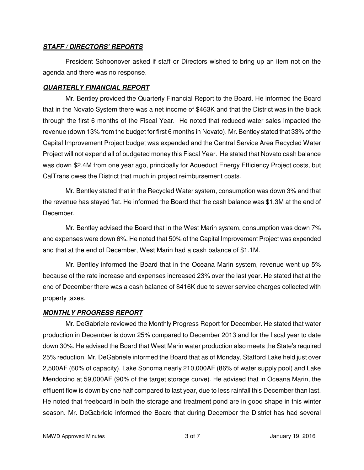### **STAFF / DIRECTORS' REPORTS**

President Schoonover asked if staff or Directors wished to bring up an item not on the agenda and there was no response.

## **QUARTERLY FINANCIAL REPORT**

Mr. Bentley provided the Quarterly Financial Report to the Board. He informed the Board that in the Novato System there was a net income of \$463K and that the District was in the black through the first 6 months of the Fiscal Year. He noted that reduced water sales impacted the revenue (down 13% from the budget for first 6 months in Novato). Mr. Bentley stated that 33% of the Capital Improvement Project budget was expended and the Central Service Area Recycled Water Project will not expend all of budgeted money this Fiscal Year. He stated that Novato cash balance was down \$2.4M from one year ago, principally for Aqueduct Energy Efficiency Project costs, but CalTrans owes the District that much in project reimbursement costs.

Mr. Bentley stated that in the Recycled Water system, consumption was down 3% and that the revenue has stayed flat. He informed the Board that the cash balance was \$1.3M at the end of December.

Mr. Bentley advised the Board that in the West Marin system, consumption was down 7% and expenses were down 6%. He noted that 50% of the Capital Improvement Project was expended and that at the end of December, West Marin had a cash balance of \$1.1M.

Mr. Bentley informed the Board that in the Oceana Marin system, revenue went up 5% because of the rate increase and expenses increased 23% over the last year. He stated that at the end of December there was a cash balance of \$416K due to sewer service charges collected with property taxes.

#### **MONTHLY PROGRESS REPORT**

Mr. DeGabriele reviewed the Monthly Progress Report for December. He stated that water production in December is down 25% compared to December 2013 and for the fiscal year to date down 30%. He advised the Board that West Marin water production also meets the State's required 25% reduction. Mr. DeGabriele informed the Board that as of Monday, Stafford Lake held just over 2,500AF (60% of capacity), Lake Sonoma nearly 210,000AF (86% of water supply pool) and Lake Mendocino at 59,000AF (90% of the target storage curve). He advised that in Oceana Marin, the effluent flow is down by one half compared to last year, due to less rainfall this December than last. He noted that freeboard in both the storage and treatment pond are in good shape in this winter season. Mr. DeGabriele informed the Board that during December the District has had several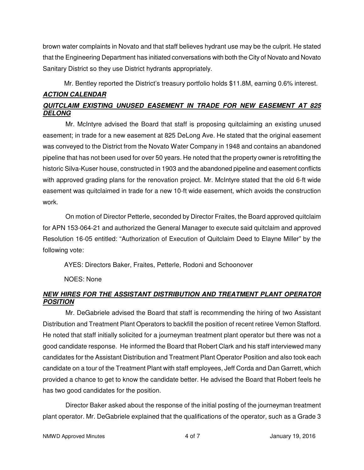brown water complaints in Novato and that staff believes hydrant use may be the culprit. He stated that the Engineering Department has initiated conversations with both the City of Novato and Novato Sanitary District so they use District hydrants appropriately.

Mr. Bentley reported the District's treasury portfolio holds \$11.8M, earning 0.6% interest.

## **ACTION CALENDAR**

# **QUITCLAIM EXISTING UNUSED EASEMENT IN TRADE FOR NEW EASEMENT AT 825 DELONG**

Mr. McIntyre advised the Board that staff is proposing quitclaiming an existing unused easement; in trade for a new easement at 825 DeLong Ave. He stated that the original easement was conveyed to the District from the Novato Water Company in 1948 and contains an abandoned pipeline that has not been used for over 50 years. He noted that the property owner is retrofitting the historic Silva-Kuser house, constructed in 1903 and the abandoned pipeline and easement conflicts with approved grading plans for the renovation project. Mr. McIntyre stated that the old 6-ft wide easement was quitclaimed in trade for a new 10-ft wide easement, which avoids the construction work.

On motion of Director Petterle, seconded by Director Fraites, the Board approved quitclaim for APN 153-064-21 and authorized the General Manager to execute said quitclaim and approved Resolution 16-05 entitled: "Authorization of Execution of Quitclaim Deed to Elayne Miller" by the following vote:

AYES: Directors Baker, Fraites, Petterle, Rodoni and Schoonover

NOES: None

# **NEW HIRES FOR THE ASSISTANT DISTRIBUTION AND TREATMENT PLANT OPERATOR POSITION**

Mr. DeGabriele advised the Board that staff is recommending the hiring of two Assistant Distribution and Treatment Plant Operators to backfill the position of recent retiree Vernon Stafford. He noted that staff initially solicited for a journeyman treatment plant operator but there was not a good candidate response. He informed the Board that Robert Clark and his staff interviewed many candidates for the Assistant Distribution and Treatment Plant Operator Position and also took each candidate on a tour of the Treatment Plant with staff employees, Jeff Corda and Dan Garrett, which provided a chance to get to know the candidate better. He advised the Board that Robert feels he has two good candidates for the position.

Director Baker asked about the response of the initial posting of the journeyman treatment plant operator. Mr. DeGabriele explained that the qualifications of the operator, such as a Grade 3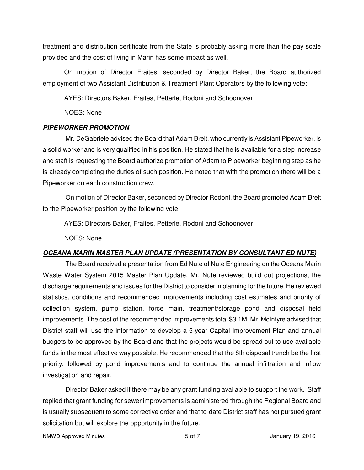treatment and distribution certificate from the State is probably asking more than the pay scale provided and the cost of living in Marin has some impact as well.

 On motion of Director Fraites, seconded by Director Baker, the Board authorized employment of two Assistant Distribution & Treatment Plant Operators by the following vote:

AYES: Directors Baker, Fraites, Petterle, Rodoni and Schoonover

NOES: None

### **PIPEWORKER PROMOTION**

Mr. DeGabriele advised the Board that Adam Breit, who currently is Assistant Pipeworker, is a solid worker and is very qualified in his position. He stated that he is available for a step increase and staff is requesting the Board authorize promotion of Adam to Pipeworker beginning step as he is already completing the duties of such position. He noted that with the promotion there will be a Pipeworker on each construction crew.

On motion of Director Baker, seconded by Director Rodoni, the Board promoted Adam Breit to the Pipeworker position by the following vote:

AYES: Directors Baker, Fraites, Petterle, Rodoni and Schoonover

NOES: None

# **OCEANA MARIN MASTER PLAN UPDATE (PRESENTATION BY CONSULTANT ED NUTE)**

The Board received a presentation from Ed Nute of Nute Engineering on the Oceana Marin Waste Water System 2015 Master Plan Update. Mr. Nute reviewed build out projections, the discharge requirements and issues for the District to consider in planning for the future. He reviewed statistics, conditions and recommended improvements including cost estimates and priority of collection system, pump station, force main, treatment/storage pond and disposal field improvements. The cost of the recommended improvements total \$3.1M. Mr. McIntyre advised that District staff will use the information to develop a 5-year Capital Improvement Plan and annual budgets to be approved by the Board and that the projects would be spread out to use available funds in the most effective way possible. He recommended that the 8th disposal trench be the first priority, followed by pond improvements and to continue the annual infiltration and inflow investigation and repair.

Director Baker asked if there may be any grant funding available to support the work. Staff replied that grant funding for sewer improvements is administered through the Regional Board and is usually subsequent to some corrective order and that to-date District staff has not pursued grant solicitation but will explore the opportunity in the future.

NMWD Approved Minutes and the state of the state of 5 of 7 Tangle 19, 2016 and the state of the state of the state of the state of the state of the state of the state of the state of the state of the state of the state of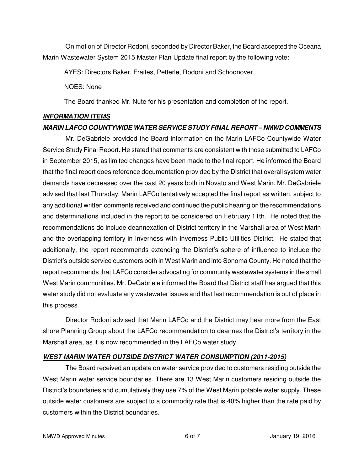On motion of Director Rodoni, seconded by Director Baker, the Board accepted the Oceana Marin Wastewater System 2015 Master Plan Update final report by the following vote:

AYES: Directors Baker, Fraites, Petterle, Rodoni and Schoonover

NOES: None

The Board thanked Mr. Nute for his presentation and completion of the report.

## **INFORMATION ITEMS**

## **MARIN LAFCO COUNTYWIDE WATER SERVICE STUDY FINAL REPORT – NMWD COMMENTS**

Mr. DeGabriele provided the Board information on the Marin LAFCo Countywide Water Service Study Final Report. He stated that comments are consistent with those submitted to LAFCo in September 2015, as limited changes have been made to the final report. He informed the Board that the final report does reference documentation provided by the District that overall system water demands have decreased over the past 20 years both in Novato and West Marin. Mr. DeGabriele advised that last Thursday, Marin LAFCo tentatively accepted the final report as written, subject to any additional written comments received and continued the public hearing on the recommendations and determinations included in the report to be considered on February 11th. He noted that the recommendations do include deannexation of District territory in the Marshall area of West Marin and the overlapping territory in Inverness with Inverness Public Utilities District. He stated that additionally, the report recommends extending the District's sphere of influence to include the District's outside service customers both in West Marin and into Sonoma County. He noted that the report recommends that LAFCo consider advocating for community wastewater systems in the small West Marin communities. Mr. DeGabriele informed the Board that District staff has argued that this water study did not evaluate any wastewater issues and that last recommendation is out of place in this process.

Director Rodoni advised that Marin LAFCo and the District may hear more from the East shore Planning Group about the LAFCo recommendation to deannex the District's territory in the Marshall area, as it is now recommended in the LAFCo water study.

# **WEST MARIN WATER OUTSIDE DISTRICT WATER CONSUMPTION (2011-2015)**

The Board received an update on water service provided to customers residing outside the West Marin water service boundaries. There are 13 West Marin customers residing outside the District's boundaries and cumulatively they use 7% of the West Marin potable water supply. These outside water customers are subject to a commodity rate that is 40% higher than the rate paid by customers within the District boundaries.